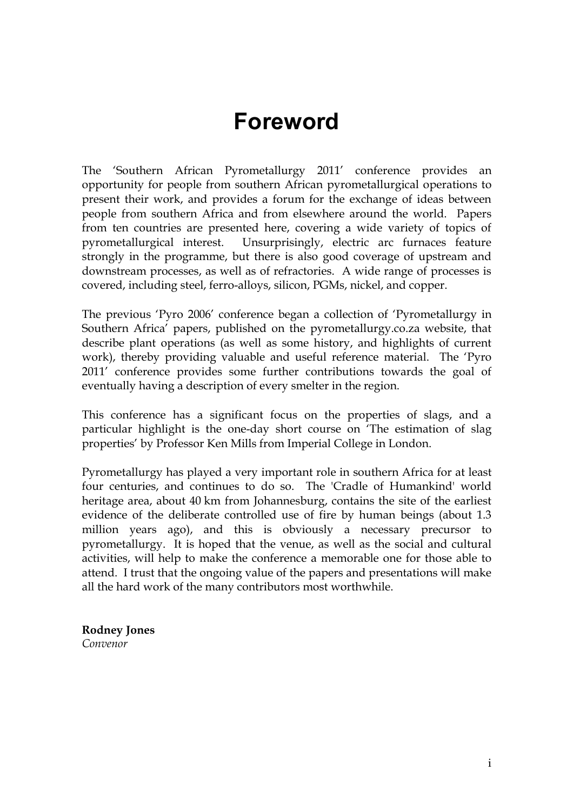## **Foreword**

The 'Southern African Pyrometallurgy 2011' conference provides an opportunity for people from southern African pyrometallurgical operations to present their work, and provides a forum for the exchange of ideas between people from southern Africa and from elsewhere around the world. Papers from ten countries are presented here, covering a wide variety of topics of pyrometallurgical interest. Unsurprisingly, electric arc furnaces feature strongly in the programme, but there is also good coverage of upstream and downstream processes, as well as of refractories. A wide range of processes is covered, including steel, ferro-alloys, silicon, PGMs, nickel, and copper.

The previous 'Pyro 2006' conference began a collection of 'Pyrometallurgy in Southern Africa' papers, published on the pyrometallurgy.co.za website, that describe plant operations (as well as some history, and highlights of current work), thereby providing valuable and useful reference material. The 'Pyro 2011' conference provides some further contributions towards the goal of eventually having a description of every smelter in the region.

This conference has a significant focus on the properties of slags, and a particular highlight is the one-day short course on 'The estimation of slag properties' by Professor Ken Mills from Imperial College in London.

Pyrometallurgy has played a very important role in southern Africa for at least four centuries, and continues to do so. The 'Cradle of Humankind' world heritage area, about 40 km from Johannesburg, contains the site of the earliest evidence of the deliberate controlled use of fire by human beings (about 1.3 million years ago), and this is obviously a necessary precursor to pyrometallurgy. It is hoped that the venue, as well as the social and cultural activities, will help to make the conference a memorable one for those able to attend. I trust that the ongoing value of the papers and presentations will make all the hard work of the many contributors most worthwhile.

**Rodney Jones**  *Convenor*